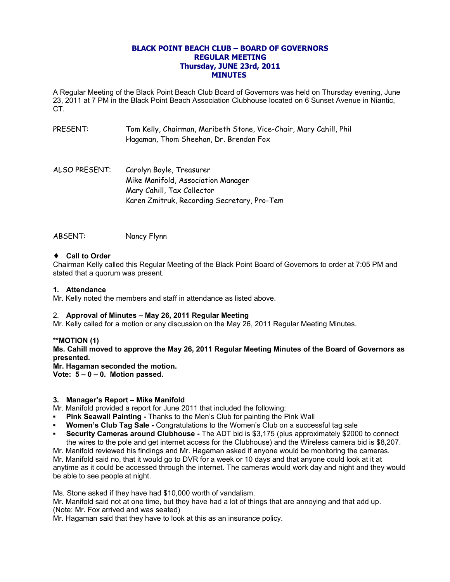## **BLACK POINT BEACH CLUB – BOARD OF GOVERNORS REGULAR MEETING Thursday, JUNE 23rd, 2011 MINUTES**

A Regular Meeting of the Black Point Beach Club Board of Governors was held on Thursday evening, June 23, 2011 at 7 PM in the Black Point Beach Association Clubhouse located on 6 Sunset Avenue in Niantic, CT.

- PRESENT: Tom Kelly, Chairman, Maribeth Stone, Vice-Chair, Mary Cahill, Phil Hagaman, Thom Sheehan, Dr. Brendan Fox
- ALSO PRESENT: Carolyn Boyle, Treasurer Mike Manifold, Association Manager Mary Cahill, Tax Collector Karen Zmitruk, Recording Secretary, Pro-Tem

## ABSENT: Nancy Flynn

### ♦ **Call to Order**

Chairman Kelly called this Regular Meeting of the Black Point Board of Governors to order at 7:05 PM and stated that a quorum was present.

### **1. Attendance**

Mr. Kelly noted the members and staff in attendance as listed above.

## 2. **Approval of Minutes – May 26, 2011 Regular Meeting**

Mr. Kelly called for a motion or any discussion on the May 26, 2011 Regular Meeting Minutes.

**\*\*MOTION (1) Ms. Cahill moved to approve the May 26, 2011 Regular Meeting Minutes of the Board of Governors as presented.**

**Mr. Hagaman seconded the motion.**

**Vote: 5 – 0 – 0. Motion passed.**

### **3. Manager's Report – Mike Manifold**

Mr. Manifold provided a report for June 2011 that included the following:

- **Pink Seawall Painting Thanks to the Men's Club for painting the Pink Wall**
- **Women's Club Tag Sale Congratulations to the Women's Club on a successful tag sale**
- **Security Cameras around Clubhouse -** The ADT bid is \$3,175 (plus approximately \$2000 to connect the wires to the pole and get internet access for the Clubhouse) and the Wireless camera bid is \$8,207.

Mr. Manifold reviewed his findings and Mr. Hagaman asked if anyone would be monitoring the cameras. Mr. Manifold said no, that it would go to DVR for a week or 10 days and that anyone could look at it at anytime as it could be accessed through the internet. The cameras would work day and night and they would be able to see people at night.

Ms. Stone asked if they have had \$10,000 worth of vandalism.

Mr. Manifold said not at one time, but they have had a lot of things that are annoying and that add up. (Note: Mr. Fox arrived and was seated)

Mr. Hagaman said that they have to look at this as an insurance policy.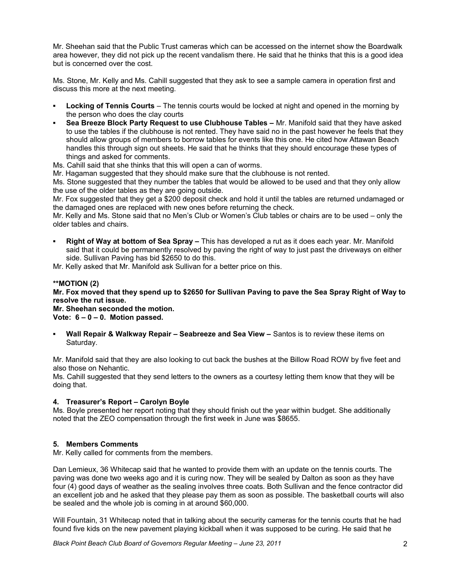Mr. Sheehan said that the Public Trust cameras which can be accessed on the internet show the Boardwalk area however, they did not pick up the recent vandalism there. He said that he thinks that this is a good idea but is concerned over the cost.

Ms. Stone, Mr. Kelly and Ms. Cahill suggested that they ask to see a sample camera in operation first and discuss this more at the next meeting.

- **Locking of Tennis Courts** The tennis courts would be locked at night and opened in the morning by the person who does the clay courts
- **Sea Breeze Block Party Request to use Clubhouse Tables Mr. Manifold said that they have asked** to use the tables if the clubhouse is not rented. They have said no in the past however he feels that they should allow groups of members to borrow tables for events like this one. He cited how Attawan Beach handles this through sign out sheets. He said that he thinks that they should encourage these types of things and asked for comments.

Ms. Cahill said that she thinks that this will open a can of worms.

Mr. Hagaman suggested that they should make sure that the clubhouse is not rented.

Ms. Stone suggested that they number the tables that would be allowed to be used and that they only allow the use of the older tables as they are going outside.

Mr. Fox suggested that they get a \$200 deposit check and hold it until the tables are returned undamaged or the damaged ones are replaced with new ones before returning the check.

Mr. Kelly and Ms. Stone said that no Men's Club or Women's Club tables or chairs are to be used – only the older tables and chairs.

**Right of Way at bottom of Sea Spray –** This has developed a rut as it does each year. Mr. Manifold said that it could be permanently resolved by paving the right of way to just past the driveways on either side. Sullivan Paving has bid \$2650 to do this.

Mr. Kelly asked that Mr. Manifold ask Sullivan for a better price on this.

### **\*\*MOTION (2)**

**Mr. Fox moved that they spend up to \$2650 for Sullivan Paving to pave the Sea Spray Right of Way to resolve the rut issue.**

**Mr. Sheehan seconded the motion. Vote: 6 – 0 – 0. Motion passed.**

**Wall Repair & Walkway Repair – Seabreeze and Sea View –** Santos is to review these items on Saturday.

Mr. Manifold said that they are also looking to cut back the bushes at the Billow Road ROW by five feet and also those on Nehantic.

Ms. Cahill suggested that they send letters to the owners as a courtesy letting them know that they will be doing that.

# **4. Treasurer's Report – Carolyn Boyle**

Ms. Boyle presented her report noting that they should finish out the year within budget. She additionally noted that the ZEO compensation through the first week in June was \$8655.

### **5. Members Comments**

Mr. Kelly called for comments from the members.

Dan Lemieux, 36 Whitecap said that he wanted to provide them with an update on the tennis courts. The paving was done two weeks ago and it is curing now. They will be sealed by Dalton as soon as they have four (4) good days of weather as the sealing involves three coats. Both Sullivan and the fence contractor did an excellent job and he asked that they please pay them as soon as possible. The basketball courts will also be sealed and the whole job is coming in at around \$60,000.

Will Fountain, 31 Whitecap noted that in talking about the security cameras for the tennis courts that he had found five kids on the new pavement playing kickball when it was supposed to be curing. He said that he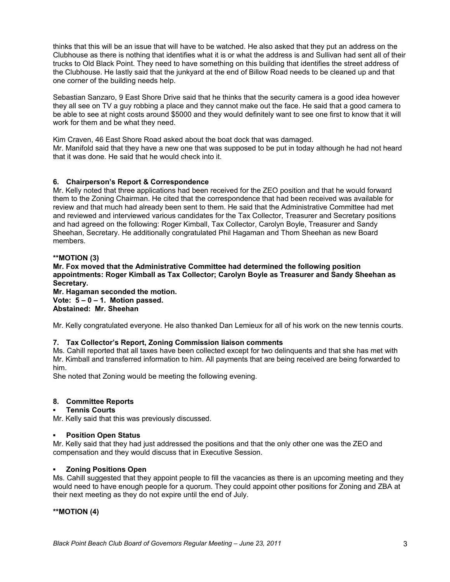thinks that this will be an issue that will have to be watched. He also asked that they put an address on the Clubhouse as there is nothing that identifies what it is or what the address is and Sullivan had sent all of their trucks to Old Black Point. They need to have something on this building that identifies the street address of the Clubhouse. He lastly said that the junkyard at the end of Billow Road needs to be cleaned up and that one corner of the building needs help.

Sebastian Sanzaro, 9 East Shore Drive said that he thinks that the security camera is a good idea however they all see on TV a guy robbing a place and they cannot make out the face. He said that a good camera to be able to see at night costs around \$5000 and they would definitely want to see one first to know that it will work for them and be what they need.

Kim Craven, 46 East Shore Road asked about the boat dock that was damaged. Mr. Manifold said that they have a new one that was supposed to be put in today although he had not heard that it was done. He said that he would check into it.

# **6. Chairperson's Report & Correspondence**

Mr. Kelly noted that three applications had been received for the ZEO position and that he would forward them to the Zoning Chairman. He cited that the correspondence that had been received was available for review and that much had already been sent to them. He said that the Administrative Committee had met and reviewed and interviewed various candidates for the Tax Collector, Treasurer and Secretary positions and had agreed on the following: Roger Kimball, Tax Collector, Carolyn Boyle, Treasurer and Sandy Sheehan, Secretary. He additionally congratulated Phil Hagaman and Thom Sheehan as new Board members.

### **\*\*MOTION (3)**

# **Mr. Fox moved that the Administrative Committee had determined the following position appointments: Roger Kimball as Tax Collector; Carolyn Boyle as Treasurer and Sandy Sheehan as Secretary.**

**Mr. Hagaman seconded the motion. Vote: 5 – 0 – 1. Motion passed. Abstained: Mr. Sheehan**

Mr. Kelly congratulated everyone. He also thanked Dan Lemieux for all of his work on the new tennis courts.

### **7. Tax Collector's Report, Zoning Commission liaison comments**

Ms. Cahill reported that all taxes have been collected except for two delinquents and that she has met with Mr. Kimball and transferred information to him. All payments that are being received are being forwarded to him.

She noted that Zoning would be meeting the following evening.

### **8. Committee Reports**

### **Tennis Courts**

Mr. Kelly said that this was previously discussed.

### **Position Open Status**

Mr. Kelly said that they had just addressed the positions and that the only other one was the ZEO and compensation and they would discuss that in Executive Session.

### **Zoning Positions Open**

Ms. Cahill suggested that they appoint people to fill the vacancies as there is an upcoming meeting and they would need to have enough people for a quorum. They could appoint other positions for Zoning and ZBA at their next meeting as they do not expire until the end of July.

**\*\*MOTION (4)**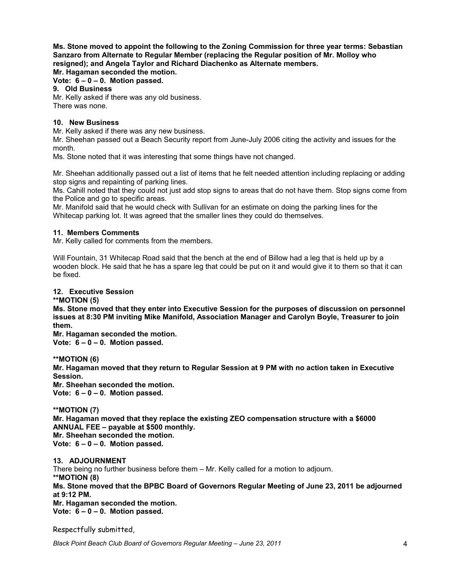**Ms. Stone moved to appoint the following to the Zoning Commission for three year terms: Sebastian Sanzaro from Alternate to Regular Member (replacing the Regular position of Mr. Molloy who resigned); and Angela Taylor and Richard Diachenko as Alternate members. Mr. Hagaman seconded the motion.**

**Vote: 6 – 0 – 0. Motion passed.**

## **9. Old Business**

Mr. Kelly asked if there was any old business. There was none.

## **10. New Business**

Mr. Kelly asked if there was any new business.

Mr. Sheehan passed out a Beach Security report from June-July 2006 citing the activity and issues for the month.

Ms. Stone noted that it was interesting that some things have not changed.

Mr. Sheehan additionally passed out a list of items that he felt needed attention including replacing or adding stop signs and repainting of parking lines.

Ms. Cahill noted that they could not just add stop signs to areas that do not have them. Stop signs come from the Police and go to specific areas.

Mr. Manifold said that he would check with Sullivan for an estimate on doing the parking lines for the Whitecap parking lot. It was agreed that the smaller lines they could do themselves.

### **11. Members Comments**

Mr. Kelly called for comments from the members.

Will Fountain, 31 Whitecap Road said that the bench at the end of Billow had a leg that is held up by a wooden block. He said that he has a spare leg that could be put on it and would give it to them so that it can be fixed.

### **12. Executive Session**

**\*\*MOTION (5)**

**Ms. Stone moved that they enter into Executive Session for the purposes of discussion on personnel issues at 8:30 PM inviting Mike Manifold, Association Manager and Carolyn Boyle, Treasurer to join them.**

**Mr. Hagaman seconded the motion.**

**Vote: 6 – 0 – 0. Motion passed.**

**\*\*MOTION (6)**

**Mr. Hagaman moved that they return to Regular Session at 9 PM with no action taken in Executive Session.**

**Mr. Sheehan seconded the motion.**

**Vote: 6 – 0 – 0. Motion passed.**

**\*\*MOTION (7)**

**Mr. Hagaman moved that they replace the existing ZEO compensation structure with a \$6000 ANNUAL FEE – payable at \$500 monthly.**

**Mr. Sheehan seconded the motion.**

**Vote: 6 – 0 – 0. Motion passed.**

**13. ADJOURNMENT** There being no further business before them – Mr. Kelly called for a motion to adjourn. **\*\*MOTION (8) Ms. Stone moved that the BPBC Board of Governors Regular Meeting of June 23, 2011 be adjourned at 9:12 PM. Mr. Hagaman seconded the motion. Vote: 6 – 0 – 0. Motion passed.**

Respectfully submitted,